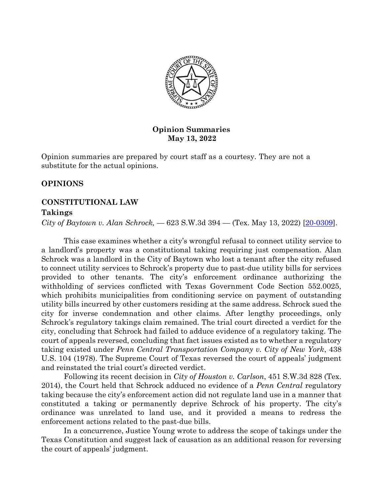

## **Opinion Summaries May 13, 2022**

Opinion summaries are prepared by court staff as a courtesy. They are not a substitute for the actual opinions.

# **OPINIONS**

# **CONSTITUTIONAL LAW**

## **Takings**

*City of Baytown v. Alan Schrock,* — 623 S.W.3d 394 — (Tex. May 13, 2022) [\[20-0309\]](https://search.txcourts.gov/Case.aspx?cn=20-0309&coa=cossup).

This case examines whether a city's wrongful refusal to connect utility service to a landlord's property was a constitutional taking requiring just compensation. Alan Schrock was a landlord in the City of Baytown who lost a tenant after the city refused to connect utility services to Schrock's property due to past-due utility bills for services provided to other tenants. The city's enforcement ordinance authorizing the withholding of services conflicted with Texas Government Code Section 552.0025, which prohibits municipalities from conditioning service on payment of outstanding utility bills incurred by other customers residing at the same address. Schrock sued the city for inverse condemnation and other claims. After lengthy proceedings, only Schrock's regulatory takings claim remained. The trial court directed a verdict for the city, concluding that Schrock had failed to adduce evidence of a regulatory taking. The court of appeals reversed, concluding that fact issues existed as to whether a regulatory taking existed under *Penn Central Transportation Company v. City of New York*, 438 U.S. 104 (1978). The Supreme Court of Texas reversed the court of appeals' judgment and reinstated the trial court's directed verdict.

Following its recent decision in *City of Houston v. Carlson*, 451 S.W.3d 828 (Tex. 2014), the Court held that Schrock adduced no evidence of a *Penn Central* regulatory taking because the city's enforcement action did not regulate land use in a manner that constituted a taking or permanently deprive Schrock of his property. The city's ordinance was unrelated to land use, and it provided a means to redress the enforcement actions related to the past-due bills.

In a concurrence, Justice Young wrote to address the scope of takings under the Texas Constitution and suggest lack of causation as an additional reason for reversing the court of appeals' judgment.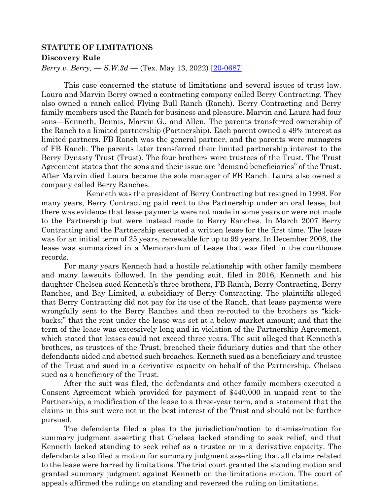### **STATUTE OF LIMITATIONS**

#### **Discovery Rule**

*Berry v. Berry, — S.W.3d —* (Tex. May 13, 2022) [\[20-0687\]](https://search.txcourts.gov/Case.aspx?cn=20-0687&coa=cossup)

This case concerned the statute of limitations and several issues of trust law. Laura and Marvin Berry owned a contracting company called Berry Contracting. They also owned a ranch called Flying Bull Ranch (Ranch). Berry Contracting and Berry family members used the Ranch for business and pleasure. Marvin and Laura had four sons—Kenneth, Dennis, Marvin G., and Allen. The parents transferred ownership of the Ranch to a limited partnership (Partnership). Each parent owned a 49% interest as limited partners. FB Ranch was the general partner, and the parents were managers of FB Ranch. The parents later transferred their limited partnership interest to the Berry Dynasty Trust (Trust). The four brothers were trustees of the Trust. The Trust Agreement states that the sons and their issue are "demand beneficiaries" of the Trust. After Marvin died Laura became the sole manager of FB Ranch. Laura also owned a company called Berry Ranches.

Kenneth was the president of Berry Contracting but resigned in 1998. For many years, Berry Contracting paid rent to the Partnership under an oral lease, but there was evidence that lease payments were not made in some years or were not made to the Partnership but were instead made to Berry Ranches. In March 2007 Berry Contracting and the Partnership executed a written lease for the first time. The lease was for an initial term of 25 years, renewable for up to 99 years. In December 2008, the lease was summarized in a Memorandum of Lease that was filed in the courthouse records.

For many years Kenneth had a hostile relationship with other family members and many lawsuits followed. In the pending suit, filed in 2016, Kenneth and his daughter Chelsea sued Kenneth's three brothers, FB Ranch, Berry Contracting, Berry Ranches, and Bay Limited, a subsidiary of Berry Contracting. The plaintiffs alleged that Berry Contracting did not pay for its use of the Ranch, that lease payments were wrongfully sent to the Berry Ranches and then re-routed to the brothers as "kickbacks;" that the rent under the lease was set at a below-market amount; and that the term of the lease was excessively long and in violation of the Partnership Agreement, which stated that leases could not exceed three years. The suit alleged that Kenneth's brothers, as trustees of the Trust, breached their fiduciary duties and that the other defendants aided and abetted such breaches. Kenneth sued as a beneficiary and trustee of the Trust and sued in a derivative capacity on behalf of the Partnership. Chelsea sued as a beneficiary of the Trust.

After the suit was filed, the defendants and other family members executed a Consent Agreement which provided for payment of \$440,000 in unpaid rent to the Partnership, a modification of the lease to a three-year term, and a statement that the claims in this suit were not in the best interest of the Trust and should not be further pursued.

The defendants filed a plea to the jurisdiction/motion to dismiss/motion for summary judgment asserting that Chelsea lacked standing to seek relief, and that Kenneth lacked standing to seek relief as a trustee or in a derivative capacity. The defendants also filed a motion for summary judgment asserting that all claims related to the lease were barred by limitations. The trial court granted the standing motion and granted summary judgment against Kenneth on the limitations motion. The court of appeals affirmed the rulings on standing and reversed the ruling on limitations.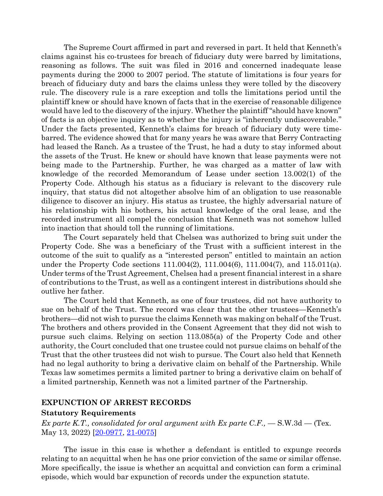The Supreme Court affirmed in part and reversed in part. It held that Kenneth's claims against his co-trustees for breach of fiduciary duty were barred by limitations, reasoning as follows. The suit was filed in 2016 and concerned inadequate lease payments during the 2000 to 2007 period. The statute of limitations is four years for breach of fiduciary duty and bars the claims unless they were tolled by the discovery rule. The discovery rule is a rare exception and tolls the limitations period until the plaintiff knew or should have known of facts that in the exercise of reasonable diligence would have led to the discovery of the injury. Whether the plaintiff "should have known" of facts is an objective inquiry as to whether the injury is "inherently undiscoverable." Under the facts presented, Kenneth's claims for breach of fiduciary duty were timebarred. The evidence showed that for many years he was aware that Berry Contracting had leased the Ranch. As a trustee of the Trust, he had a duty to stay informed about the assets of the Trust. He knew or should have known that lease payments were not being made to the Partnership. Further, he was charged as a matter of law with knowledge of the recorded Memorandum of Lease under section 13.002(1) of the Property Code. Although his status as a fiduciary is relevant to the discovery rule inquiry, that status did not altogether absolve him of an obligation to use reasonable diligence to discover an injury. His status as trustee, the highly adversarial nature of his relationship with his bothers, his actual knowledge of the oral lease, and the recorded instrument all compel the conclusion that Kenneth was not somehow lulled into inaction that should toll the running of limitations.

The Court separately held that Chelsea was authorized to bring suit under the Property Code. She was a beneficiary of the Trust with a sufficient interest in the outcome of the suit to qualify as a "interested person" entitled to maintain an action under the Property Code sections 111.004(2), 111.004(6), 111.004(7), and 115.011(a). Under terms of the Trust Agreement, Chelsea had a present financial interest in a share of contributions to the Trust, as well as a contingent interest in distributions should she outlive her father.

The Court held that Kenneth, as one of four trustees, did not have authority to sue on behalf of the Trust. The record was clear that the other trustees—Kenneth's brothers—did not wish to pursue the claims Kenneth was making on behalf of the Trust. The brothers and others provided in the Consent Agreement that they did not wish to pursue such claims. Relying on section 113.085(a) of the Property Code and other authority, the Court concluded that one trustee could not pursue claims on behalf of the Trust that the other trustees did not wish to pursue. The Court also held that Kenneth had no legal authority to bring a derivative claim on behalf of the Partnership. While Texas law sometimes permits a limited partner to bring a derivative claim on behalf of a limited partnership, Kenneth was not a limited partner of the Partnership.

### **EXPUNCTION OF ARREST RECORDS**

#### **Statutory Requirements**

*Ex parte K.T., consolidated for oral argument with Ex parte C.F.,*  $-$  S.W.3d  $-$  (Tex. May 13, 2022) [\[20-0977,](https://search.txcourts.gov/Case.aspx?cn=20-0977&coa=cossup) [21-0075\]](https://search.txcourts.gov/Case.aspx?cn=21-0075&coa=cossup)

The issue in this case is whether a defendant is entitled to expunge records relating to an acquittal when he has one prior conviction of the same or similar offense. More specifically, the issue is whether an acquittal and conviction can form a criminal episode, which would bar expunction of records under the expunction statute.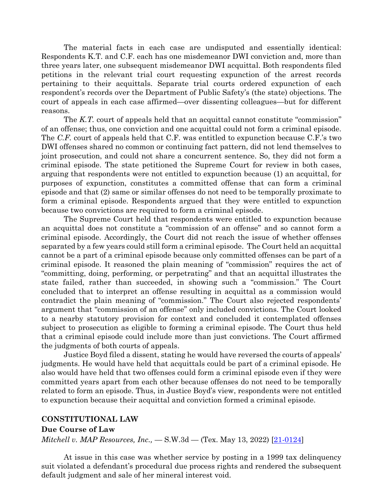The material facts in each case are undisputed and essentially identical: Respondents K.T. and C.F. each has one misdemeanor DWI conviction and, more than three years later, one subsequent misdemeanor DWI acquittal. Both respondents filed petitions in the relevant trial court requesting expunction of the arrest records pertaining to their acquittals. Separate trial courts ordered expunction of each respondent's records over the Department of Public Safety's (the state) objections. The court of appeals in each case affirmed—over dissenting colleagues—but for different reasons.

The *K.T.* court of appeals held that an acquittal cannot constitute "commission" of an offense; thus, one conviction and one acquittal could not form a criminal episode. The *C.F.* court of appeals held that C.F. was entitled to expunction because C.F.'s two DWI offenses shared no common or continuing fact pattern, did not lend themselves to joint prosecution, and could not share a concurrent sentence. So, they did not form a criminal episode. The state petitioned the Supreme Court for review in both cases, arguing that respondents were not entitled to expunction because (1) an acquittal, for purposes of expunction, constitutes a committed offense that can form a criminal episode and that (2) same or similar offenses do not need to be temporally proximate to form a criminal episode. Respondents argued that they were entitled to expunction because two convictions are required to form a criminal episode.

The Supreme Court held that respondents were entitled to expunction because an acquittal does not constitute a "commission of an offense" and so cannot form a criminal episode. Accordingly, the Court did not reach the issue of whether offenses separated by a few years could still form a criminal episode. The Court held an acquittal cannot be a part of a criminal episode because only committed offenses can be part of a criminal episode. It reasoned the plain meaning of "commission" requires the act of "committing, doing, performing, or perpetrating" and that an acquittal illustrates the state failed, rather than succeeded, in showing such a "commission." The Court concluded that to interpret an offense resulting in acquittal as a commission would contradict the plain meaning of "commission." The Court also rejected respondents' argument that "commission of an offense" only included convictions. The Court looked to a nearby statutory provision for context and concluded it contemplated offenses subject to prosecution as eligible to forming a criminal episode. The Court thus held that a criminal episode could include more than just convictions. The Court affirmed the judgments of both courts of appeals.

Justice Boyd filed a dissent, stating he would have reversed the courts of appeals' judgments. He would have held that acquittals could be part of a criminal episode. He also would have held that two offenses could form a criminal episode even if they were committed years apart from each other because offenses do not need to be temporally related to form an episode. Thus, in Justice Boyd's view, respondents were not entitled to expunction because their acquittal and conviction formed a criminal episode.

#### **CONSTITUTIONAL LAW**

#### **Due Course of Law**

*Mitchell v. MAP Resources, Inc.,* - S.W.3d - (Tex. May 13, 2022) [\[21-0124\]](https://search.txcourts.gov/Case.aspx?cn=21-0124&coa=cossup)

At issue in this case was whether service by posting in a 1999 tax delinquency suit violated a defendant's procedural due process rights and rendered the subsequent default judgment and sale of her mineral interest void.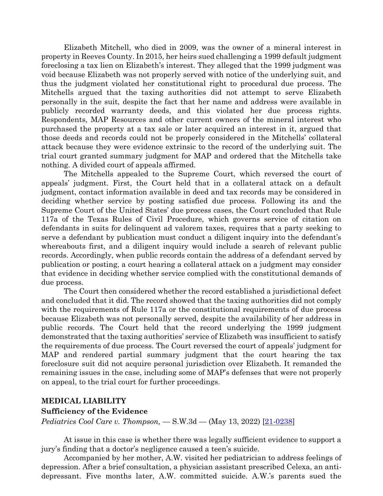Elizabeth Mitchell, who died in 2009, was the owner of a mineral interest in property in Reeves County. In 2015, her heirs sued challenging a 1999 default judgment foreclosing a tax lien on Elizabeth's interest. They alleged that the 1999 judgment was void because Elizabeth was not properly served with notice of the underlying suit, and thus the judgment violated her constitutional right to procedural due process. The Mitchells argued that the taxing authorities did not attempt to serve Elizabeth personally in the suit, despite the fact that her name and address were available in publicly recorded warranty deeds, and this violated her due process rights. Respondents, MAP Resources and other current owners of the mineral interest who purchased the property at a tax sale or later acquired an interest in it, argued that those deeds and records could not be properly considered in the Mitchells' collateral attack because they were evidence extrinsic to the record of the underlying suit. The trial court granted summary judgment for MAP and ordered that the Mitchells take nothing. A divided court of appeals affirmed.

The Mitchells appealed to the Supreme Court, which reversed the court of appeals' judgment. First, the Court held that in a collateral attack on a default judgment, contact information available in deed and tax records may be considered in deciding whether service by posting satisfied due process. Following its and the Supreme Court of the United States' due process cases, the Court concluded that Rule 117a of the Texas Rules of Civil Procedure, which governs service of citation on defendants in suits for delinquent ad valorem taxes, requires that a party seeking to serve a defendant by publication must conduct a diligent inquiry into the defendant's whereabouts first, and a diligent inquiry would include a search of relevant public records. Accordingly, when public records contain the address of a defendant served by publication or posting, a court hearing a collateral attack on a judgment may consider that evidence in deciding whether service complied with the constitutional demands of due process.

The Court then considered whether the record established a jurisdictional defect and concluded that it did. The record showed that the taxing authorities did not comply with the requirements of Rule 117a or the constitutional requirements of due process because Elizabeth was not personally served, despite the availability of her address in public records. The Court held that the record underlying the 1999 judgment demonstrated that the taxing authorities' service of Elizabeth was insufficient to satisfy the requirements of due process. The Court reversed the court of appeals' judgment for MAP and rendered partial summary judgment that the court hearing the tax foreclosure suit did not acquire personal jurisdiction over Elizabeth. It remanded the remaining issues in the case, including some of MAP's defenses that were not properly on appeal, to the trial court for further proceedings.

## **MEDICAL LIABILITY**

#### **Sufficiency of the Evidence**

*Pediatrics Cool Care v. Thompson,* — S.W.3d — (May 13, 2022) [\[21-0238\]](https://search.txcourts.gov/Case.aspx?cn=21-0238&coa=cossup)

At issue in this case is whether there was legally sufficient evidence to support a jury's finding that a doctor's negligence caused a teen's suicide.

Accompanied by her mother, A.W. visited her pediatrician to address feelings of depression. After a brief consultation, a physician assistant prescribed Celexa, an antidepressant. Five months later, A.W. committed suicide. A.W.'s parents sued the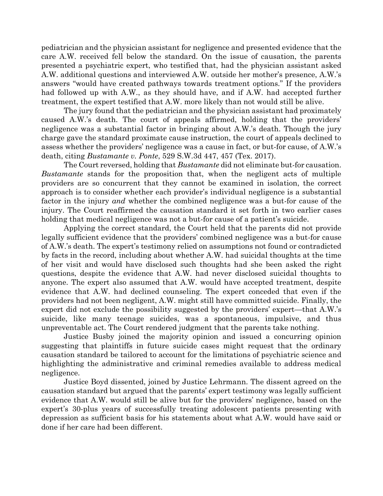pediatrician and the physician assistant for negligence and presented evidence that the care A.W. received fell below the standard. On the issue of causation, the parents presented a psychiatric expert, who testified that, had the physician assistant asked A.W. additional questions and interviewed A.W. outside her mother's presence, A.W.'s answers "would have created pathways towards treatment options." If the providers had followed up with A.W., as they should have, and if A.W. had accepted further treatment, the expert testified that A.W. more likely than not would still be alive.

The jury found that the pediatrician and the physician assistant had proximately caused A.W.'s death. The court of appeals affirmed, holding that the providers' negligence was a substantial factor in bringing about A.W.'s death. Though the jury charge gave the standard proximate cause instruction, the court of appeals declined to assess whether the providers' negligence was a cause in fact, or but-for cause, of A.W.'s death, citing *Bustamante v. Ponte*, 529 S.W.3d 447, 457 (Tex. 2017).

The Court reversed, holding that *Bustamante* did not eliminate but-for causation. *Bustamante* stands for the proposition that, when the negligent acts of multiple providers are so concurrent that they cannot be examined in isolation, the correct approach is to consider whether each provider's individual negligence is a substantial factor in the injury *and* whether the combined negligence was a but-for cause of the injury. The Court reaffirmed the causation standard it set forth in two earlier cases holding that medical negligence was not a but-for cause of a patient's suicide.

Applying the correct standard, the Court held that the parents did not provide legally sufficient evidence that the providers' combined negligence was a but-for cause of A.W.'s death. The expert's testimony relied on assumptions not found or contradicted by facts in the record, including about whether A.W. had suicidal thoughts at the time of her visit and would have disclosed such thoughts had she been asked the right questions, despite the evidence that A.W. had never disclosed suicidal thoughts to anyone. The expert also assumed that A.W. would have accepted treatment, despite evidence that A.W. had declined counseling. The expert conceded that even if the providers had not been negligent, A.W. might still have committed suicide. Finally, the expert did not exclude the possibility suggested by the providers' expert—that A.W.'s suicide, like many teenage suicides, was a spontaneous, impulsive, and thus unpreventable act. The Court rendered judgment that the parents take nothing.

Justice Busby joined the majority opinion and issued a concurring opinion suggesting that plaintiffs in future suicide cases might request that the ordinary causation standard be tailored to account for the limitations of psychiatric science and highlighting the administrative and criminal remedies available to address medical negligence.

Justice Boyd dissented, joined by Justice Lehrmann. The dissent agreed on the causation standard but argued that the parents' expert testimony was legally sufficient evidence that A.W. would still be alive but for the providers' negligence, based on the expert's 30-plus years of successfully treating adolescent patients presenting with depression as sufficient basis for his statements about what A.W. would have said or done if her care had been different.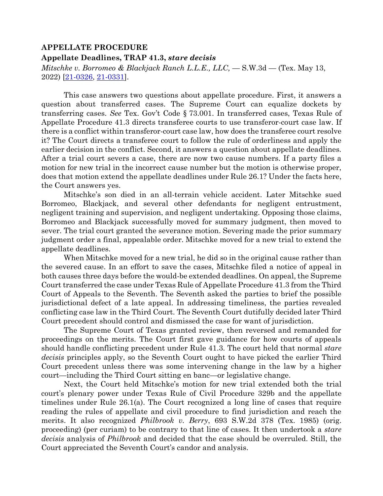# **APPELLATE PROCEDURE**

### **Appellate Deadlines, TRAP 41.3,** *stare decisis*

*Mitschke v. Borromeo & Blackjack Ranch L.L.E., LLC,* — S.W.3d — (Tex. May 13, 2022) [\[21-0326,](https://search.txcourts.gov/Case.aspx?cn=21-0326&coa=cossup) [21-0331\]](https://search.txcourts.gov/Case.aspx?cn=21-0331&coa=cossup).

This case answers two questions about appellate procedure. First, it answers a question about transferred cases. The Supreme Court can equalize dockets by transferring cases. *See* Tex. Gov't Code § 73.001. In transferred cases, Texas Rule of Appellate Procedure 41.3 directs transferee courts to use transferor-court case law. If there is a conflict within transferor-court case law, how does the transferee court resolve it? The Court directs a transferee court to follow the rule of orderliness and apply the earlier decision in the conflict. Second, it answers a question about appellate deadlines. After a trial court severs a case, there are now two cause numbers. If a party files a motion for new trial in the incorrect cause number but the motion is otherwise proper, does that motion extend the appellate deadlines under Rule 26.1? Under the facts here, the Court answers yes.

Mitschke's son died in an all-terrain vehicle accident. Later Mitschke sued Borromeo, Blackjack, and several other defendants for negligent entrustment, negligent training and supervision, and negligent undertaking. Opposing those claims, Borromeo and Blackjack successfully moved for summary judgment, then moved to sever. The trial court granted the severance motion. Severing made the prior summary judgment order a final, appealable order. Mitschke moved for a new trial to extend the appellate deadlines.

When Mitschke moved for a new trial, he did so in the original cause rather than the severed cause. In an effort to save the cases, Mitschke filed a notice of appeal in both causes three days before the would-be extended deadlines. On appeal, the Supreme Court transferred the case under Texas Rule of Appellate Procedure 41.3 from the Third Court of Appeals to the Seventh. The Seventh asked the parties to brief the possible jurisdictional defect of a late appeal. In addressing timeliness, the parties revealed conflicting case law in the Third Court. The Seventh Court dutifully decided later Third Court precedent should control and dismissed the case for want of jurisdiction.

The Supreme Court of Texas granted review, then reversed and remanded for proceedings on the merits. The Court first gave guidance for how courts of appeals should handle conflicting precedent under Rule 41.3. The court held that normal *stare decisis* principles apply, so the Seventh Court ought to have picked the earlier Third Court precedent unless there was some intervening change in the law by a higher court—including the Third Court sitting en banc—or legislative change.

Next, the Court held Mitschke's motion for new trial extended both the trial court's plenary power under Texas Rule of Civil Procedure 329b and the appellate timelines under Rule 26.1(a). The Court recognized a long line of cases that require reading the rules of appellate and civil procedure to find jurisdiction and reach the merits. It also recognized *Philbrook v. Berry*, 693 S.W.2d 378 (Tex. 1985) (orig. proceeding) (per curiam) to be contrary to that line of cases. It then undertook a *stare decisis* analysis of *Philbrook* and decided that the case should be overruled. Still, the Court appreciated the Seventh Court's candor and analysis.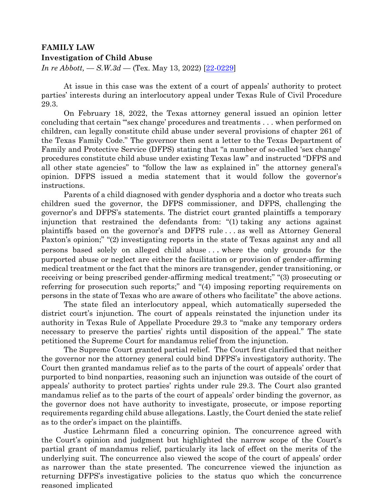## **FAMILY LAW Investigation of Child Abuse**

*In re Abbott, — S.W.3d —* (Tex. May 13, 2022) [22-0229]

At issue in this case was the extent of a court of appeals' authority to protect parties' interests during an interlocutory appeal under Texas Rule of Civil Procedure 29.3.

On February 18, 2022, the Texas attorney general issued an opinion letter concluding that certain "'sex change' procedures and treatments . . . when performed on children, can legally constitute child abuse under several provisions of chapter 261 of the Texas Family Code." The governor then sent a letter to the Texas Department of Family and Protective Service (DFPS) stating that "a number of so-called 'sex change' procedures constitute child abuse under existing Texas law" and instructed "DFPS and all other state agencies" to "follow the law as explained in" the attorney general's opinion. DFPS issued a media statement that it would follow the governor's instructions.

Parents of a child diagnosed with gender dysphoria and a doctor who treats such children sued the governor, the DFPS commissioner, and DFPS, challenging the governor's and DFPS's statements. The district court granted plaintiffs a temporary injunction that restrained the defendants from: "(1) taking any actions against plaintiffs based on the governor's and DFPS rule . . . as well as Attorney General Paxton's opinion;" "(2) investigating reports in the state of Texas against any and all persons based solely on alleged child abuse . . . where the only grounds for the purported abuse or neglect are either the facilitation or provision of gender-affirming medical treatment or the fact that the minors are transgender, gender transitioning, or receiving or being prescribed gender-affirming medical treatment;" "(3) prosecuting or referring for prosecution such reports;" and "(4) imposing reporting requirements on persons in the state of Texas who are aware of others who facilitate" the above actions.

The state filed an interlocutory appeal, which automatically superseded the district court's injunction. The court of appeals reinstated the injunction under its authority in Texas Rule of Appellate Procedure 29.3 to "make any temporary orders necessary to preserve the parties' rights until disposition of the appeal." The state petitioned the Supreme Court for mandamus relief from the injunction.

The Supreme Court granted partial relief. The Court first clarified that neither the governor nor the attorney general could bind DFPS's investigatory authority. The Court then granted mandamus relief as to the parts of the court of appeals' order that purported to bind nonparties, reasoning such an injunction was outside of the court of appeals' authority to protect parties' rights under rule 29.3. The Court also granted mandamus relief as to the parts of the court of appeals' order binding the governor, as the governor does not have authority to investigate, prosecute, or impose reporting requirements regarding child abuse allegations. Lastly, the Court denied the state relief as to the order's impact on the plaintiffs.

Justice Lehrmann filed a concurring opinion. The concurrence agreed with the Court's opinion and judgment but highlighted the narrow scope of the Court's partial grant of mandamus relief, particularly its lack of effect on the merits of the underlying suit. The concurrence also viewed the scope of the court of appeals' order as narrower than the state presented. The concurrence viewed the injunction as returning DFPS's investigative policies to the status quo which the concurrence reasoned implicated